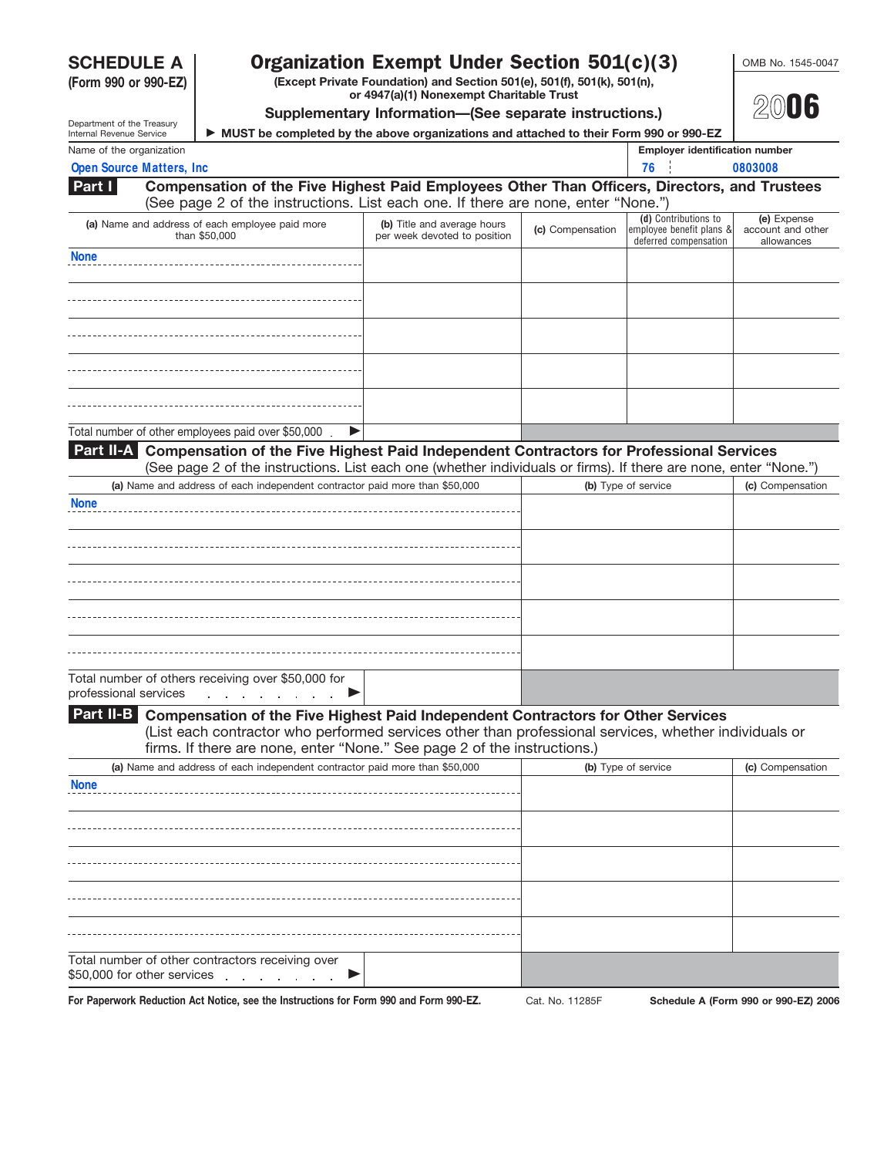**(Form 990 or 990-EZ)**

# **SCHEDULE A Organization Exempt Under Section 501(c)(3)** COMB No. 1545-0047

**(Except Private Foundation) and Section 501(e), 501(f), 501(k), 501(n), or 4947(a)(1) Nonexempt Charitable Trust Supplementary Information—(See separate instructions.)**



**20**06

| Department of the Treasury |  |
|----------------------------|--|
| Internal Revenue Service   |  |
| March of the commutation   |  |

**Part I**

 **MUST be completed by the above organizations and attached to their Form 990 or 990-EZ** Name of the organization **Employer identification number Employer identification number** 

|  | <b>Open Source Matters, Inc.</b> |  |  |  | . |  |
|--|----------------------------------|--|--|--|---|--|
|--|----------------------------------|--|--|--|---|--|

**Compensation of the Five Highest Paid Employees Other Than Officers, Directors, and Trustees** (See page 2 of the instructions. List each one. If there are none, enter "None.")

| (Occupaçõe of the instructions. List cash one. If there are none, chief tronc. $\rho$ |                                                             |                                                                                            |                                                |
|---------------------------------------------------------------------------------------|-------------------------------------------------------------|--------------------------------------------------------------------------------------------|------------------------------------------------|
| (a) Name and address of each employee paid more<br>than \$50,000                      | (b) Title and average hours<br>per week devoted to position | (d) Contributions to<br>(c) Compensation employee benefit plans &<br>deferred compensation | (e) Expense<br>account and other<br>allowances |
| <b>None</b>                                                                           |                                                             |                                                                                            |                                                |
|                                                                                       |                                                             |                                                                                            |                                                |
|                                                                                       |                                                             |                                                                                            |                                                |
|                                                                                       |                                                             |                                                                                            |                                                |
|                                                                                       |                                                             |                                                                                            |                                                |

Total number of other employees paid over \$50,000.  $\blacktriangleright$ 

**Compensation of the Five Highest Paid Independent Contractors for Professional Services Part II-A** (See page 2 of the instructions. List each one (whether individuals or firms). If there are none, enter "None.")

| (a) Name and address of each independent contractor paid more than \$50,000                                                                                                                                                                                                         | (b) Type of service | (c) Compensation |
|-------------------------------------------------------------------------------------------------------------------------------------------------------------------------------------------------------------------------------------------------------------------------------------|---------------------|------------------|
| <b>None</b>                                                                                                                                                                                                                                                                         |                     |                  |
|                                                                                                                                                                                                                                                                                     |                     |                  |
|                                                                                                                                                                                                                                                                                     |                     |                  |
|                                                                                                                                                                                                                                                                                     |                     |                  |
|                                                                                                                                                                                                                                                                                     |                     |                  |
| Total number of others receiving over \$50,000 for<br>professional services and the contract of the contract of the contract of the contract of the contract of the contract of the contract of the contract of the contract of the contract of the contract of the contract of the |                     |                  |

# **Compensation of the Five Highest Paid Independent Contractors for Other Services Part II-B**

(List each contractor who performed services other than professional services, whether individuals or firms. If there are none, enter "None." See page 2 of the instructions.)

| (a) Name and address of each independent contractor paid more than \$50,000                                                                                                                                                                                                        | (b) Type of service | (c) Compensation |
|------------------------------------------------------------------------------------------------------------------------------------------------------------------------------------------------------------------------------------------------------------------------------------|---------------------|------------------|
| <b>None</b>                                                                                                                                                                                                                                                                        |                     |                  |
|                                                                                                                                                                                                                                                                                    |                     |                  |
|                                                                                                                                                                                                                                                                                    |                     |                  |
|                                                                                                                                                                                                                                                                                    |                     |                  |
|                                                                                                                                                                                                                                                                                    |                     |                  |
| Total number of other contractors receiving over<br>\$50,000 for other services example to the service of the service of the service of the service of the service of the service of the service of the service of the service of the service of the service of the service of the |                     |                  |

For Paperwork Reduction Act Notice, see the Instructions for Form 990 and Form 990-EZ. Cat. No. 11285F Schedule A (Form 990 or 990-EZ) 2006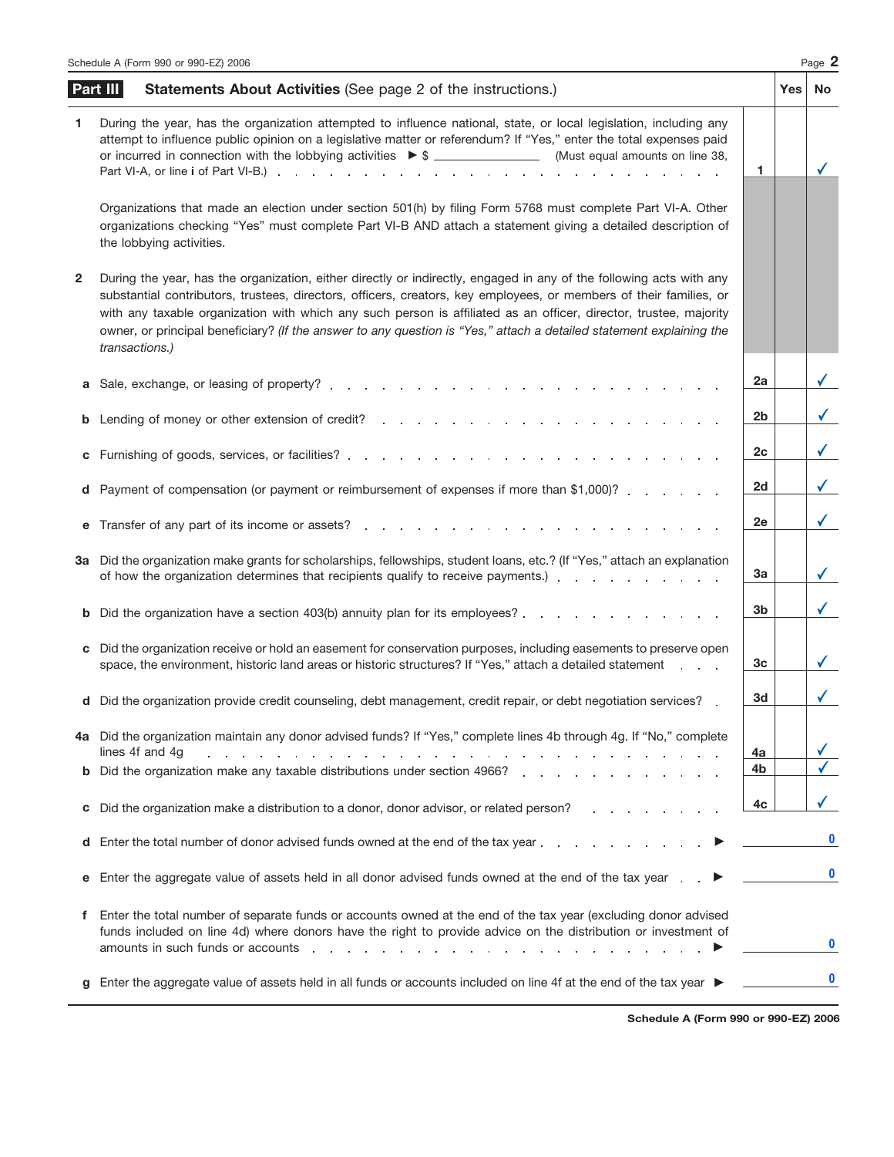|    | Schedule A (Form 990 or 990-EZ) 2006                                                                                                                                                                                                                                                                                                                                                                                                                                                                     |    |     | Page 2                  |
|----|----------------------------------------------------------------------------------------------------------------------------------------------------------------------------------------------------------------------------------------------------------------------------------------------------------------------------------------------------------------------------------------------------------------------------------------------------------------------------------------------------------|----|-----|-------------------------|
|    | Part III<br><b>Statements About Activities (See page 2 of the instructions.)</b>                                                                                                                                                                                                                                                                                                                                                                                                                         |    | Yes | No                      |
| 1. | During the year, has the organization attempted to influence national, state, or local legislation, including any<br>attempt to influence public opinion on a legislative matter or referendum? If "Yes," enter the total expenses paid<br>or incurred in connection with the lobbying activities $\triangleright$ \$ _____________________(Must equal amounts on line 38,                                                                                                                               | 1. |     | $\checkmark$            |
|    | Organizations that made an election under section 501(h) by filing Form 5768 must complete Part VI-A. Other<br>organizations checking "Yes" must complete Part VI-B AND attach a statement giving a detailed description of<br>the lobbying activities.                                                                                                                                                                                                                                                  |    |     |                         |
| 2  | During the year, has the organization, either directly or indirectly, engaged in any of the following acts with any<br>substantial contributors, trustees, directors, officers, creators, key employees, or members of their families, or<br>with any taxable organization with which any such person is affiliated as an officer, director, trustee, majority<br>owner, or principal beneficiary? (If the answer to any question is "Yes," attach a detailed statement explaining the<br>transactions.) |    |     |                         |
| а  |                                                                                                                                                                                                                                                                                                                                                                                                                                                                                                          | 2a |     | $\sqrt{2}$              |
| b  |                                                                                                                                                                                                                                                                                                                                                                                                                                                                                                          | 2b |     | $\checkmark$            |
| С  |                                                                                                                                                                                                                                                                                                                                                                                                                                                                                                          | 2c |     | $\checkmark$            |
|    | d Payment of compensation (or payment or reimbursement of expenses if more than \$1,000)?                                                                                                                                                                                                                                                                                                                                                                                                                | 2d |     | $\checkmark$            |
| е  | Transfer of any part of its income or assets?<br>Transfer of any part of its income or assets?                                                                                                                                                                                                                                                                                                                                                                                                           | 2e |     | $\checkmark$            |
|    | 3a Did the organization make grants for scholarships, fellowships, student loans, etc.? (If "Yes," attach an explanation<br>of how the organization determines that recipients qualify to receive payments.) exclude the contract of how the organization determines that recipients qualify to receive payments.)                                                                                                                                                                                       | За |     | $\checkmark$            |
| b  | Did the organization have a section 403(b) annuity plan for its employees?                                                                                                                                                                                                                                                                                                                                                                                                                               | 3b |     | $\checkmark$            |
| c  | Did the organization receive or hold an easement for conservation purposes, including easements to preserve open<br>space, the environment, historic land areas or historic structures? If "Yes," attach a detailed statement                                                                                                                                                                                                                                                                            | Зс |     | $\checkmark$            |
|    | d Did the organization provide credit counseling, debt management, credit repair, or debt negotiation services?                                                                                                                                                                                                                                                                                                                                                                                          | 3d |     |                         |
|    | 4a Did the organization maintain any donor advised funds? If "Yes," complete lines 4b through 4g. If "No," complete<br>lines 4f and 4g<br>and the contract of the contract of the contract of the contract of the contract of the contract of                                                                                                                                                                                                                                                            | 4a |     | $\overline{\checkmark}$ |
|    | <b>b</b> Did the organization make any taxable distributions under section 4966?                                                                                                                                                                                                                                                                                                                                                                                                                         | 4b |     |                         |
| c  | Did the organization make a distribution to a donor, donor advisor, or related person?                                                                                                                                                                                                                                                                                                                                                                                                                   | 4c |     |                         |
| d  | Enter the total number of donor advised funds owned at the end of the tax year enter-                                                                                                                                                                                                                                                                                                                                                                                                                    |    |     | $\mathbf{0}$            |
| е  | Enter the aggregate value of assets held in all donor advised funds owned at the end of the tax year →                                                                                                                                                                                                                                                                                                                                                                                                   |    |     |                         |
| f. | Enter the total number of separate funds or accounts owned at the end of the tax year (excluding donor advised<br>funds included on line 4d) where donors have the right to provide advice on the distribution or investment of<br>amounts in such funds or accounts entering to the contract of the contract of the contract of the contract of the contract of the contract of the contract of the contract of the contract of the contract of the contract of                                         |    |     | $\bf{0}$                |
|    | Enter the aggregate value of assets held in all funds or accounts included on line 4f at the end of the tax year ▶                                                                                                                                                                                                                                                                                                                                                                                       |    |     |                         |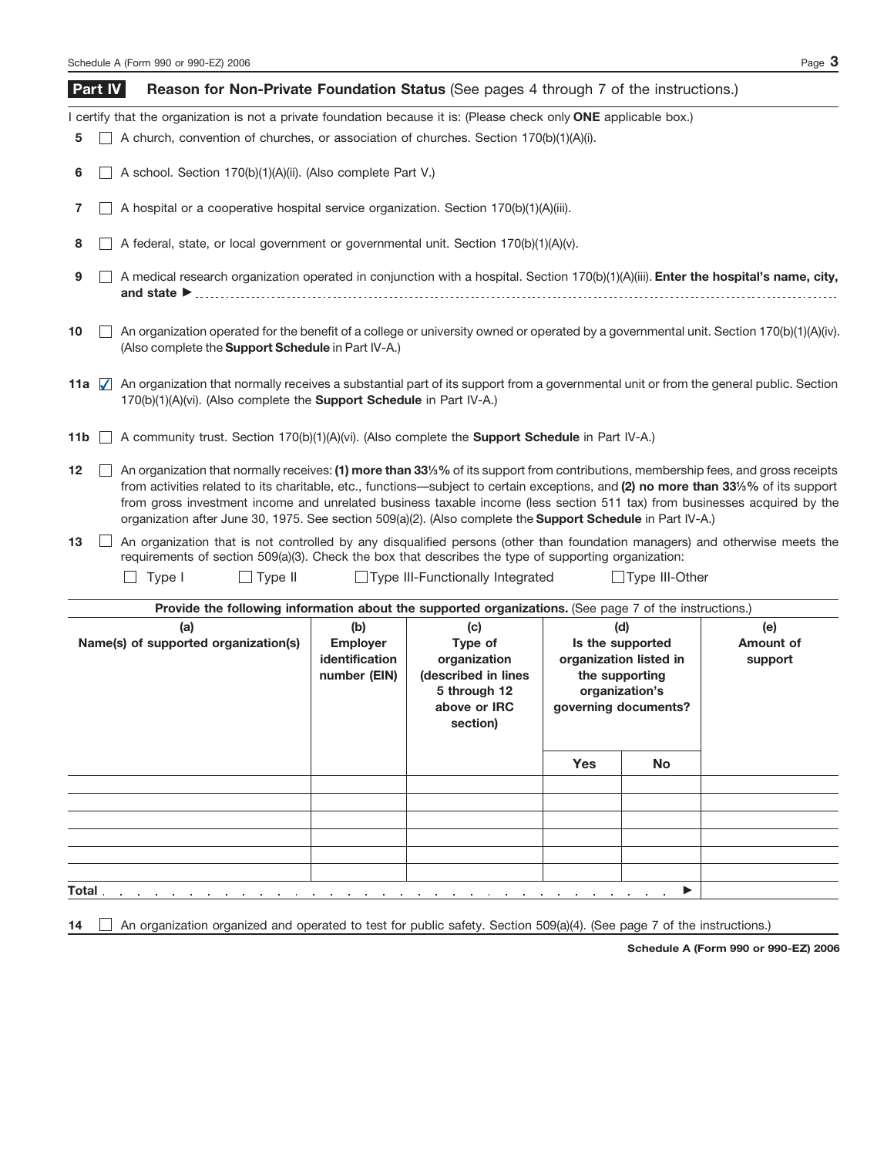Schedule A (Form 990 or 990-EZ) 2006 **Page 3 Reason for Non-Private Foundation Status** (See pages 4 through 7 of the instructions.) I certify that the organization is not a private foundation because it is: (Please check only **ONE** applicable box.) **5** A church, convention of churches, or association of churches. Section 170(b)(1)(A)(i). **6** A school. Section 170(b)(1)(A)(ii). (Also complete Part V.) **7** A hospital or a cooperative hospital service organization. Section 170(b)(1)(A)(iii). **8**  $\Box$  A federal, state, or local government or governmental unit. Section 170(b)(1)(A)(v).  $\Box$  A medical research organization operated in conjunction with a hospital. Section 170(b)(1)(A)(iii). **Enter the hospital's name, city,** and state  $\blacktriangleright$ **9** An organization operated for the benefit of a college or university owned or operated by a governmental unit. Section 170(b)(1)(A)(iv). (Also complete the **Support Schedule** in Part IV-A.) **10** An organization that normally receives a substantial part of its support from a governmental unit or from the general public. Section **11a** ✔170(b)(1)(A)(vi). (Also complete the **Support Schedule** in Part IV-A.) **11b**  $□$  A community trust. Section 170(b)(1)(A)(vi). (Also complete the **Support Schedule** in Part Ⅳ-A.) **Part IV**

**12** ■ An organization that normally receives: (1) more than 33<sup>*l*</sup> § 6 its support from contributions, membership fees, and gross receipts from activities related to its charitable, etc., functions—subject to certain exceptions, and **(2) no more than 33<sup>1</sup> ⁄3%** of its support from gross investment income and unrelated business taxable income (less section 511 tax) from businesses acquired by the organization after June 30, 1975. See section 509(a)(2). (Also complete the **Support Schedule** in Part IV-A.)

 $\Box$  An organization that is not controlled by any disqualified persons (other than foundation managers) and otherwise meets the requirements of section 509(a)(3). Check the box that describes the type of supporting organization: **13**

 $\Box$  Type II  $\Box$  Type III  $\Box$  Type III-Functionally Integrated  $\Box$  Type III-Other

| Provide the following information about the supported organizations. (See page 7 of the instructions.) |                                                                 |                                                                                                          |                                          |                                                                                                               |                             |
|--------------------------------------------------------------------------------------------------------|-----------------------------------------------------------------|----------------------------------------------------------------------------------------------------------|------------------------------------------|---------------------------------------------------------------------------------------------------------------|-----------------------------|
| (a)<br>Name(s) of supported organization(s)                                                            | (b)<br><b>Employer</b><br><i>identification</i><br>number (EIN) | (c)<br>Type of<br>organization<br>(described in lines<br>5 through 12<br>above or <b>IRC</b><br>section) |                                          | (d)<br>Is the supported<br>organization listed in<br>the supporting<br>organization's<br>governing documents? | (e)<br>Amount of<br>support |
|                                                                                                        |                                                                 |                                                                                                          | <b>Yes</b>                               | <b>No</b>                                                                                                     |                             |
|                                                                                                        |                                                                 |                                                                                                          |                                          |                                                                                                               |                             |
|                                                                                                        |                                                                 |                                                                                                          |                                          |                                                                                                               |                             |
|                                                                                                        |                                                                 |                                                                                                          |                                          |                                                                                                               |                             |
|                                                                                                        |                                                                 |                                                                                                          |                                          |                                                                                                               |                             |
|                                                                                                        |                                                                 |                                                                                                          |                                          |                                                                                                               |                             |
| Total.<br>and a strategic and a strategic and                                                          | the contract of the con-                                        |                                                                                                          | the contract of the contract of the con- | ▶<br><b>Service Control</b>                                                                                   |                             |

**14**  $\Box$  An organization organized and operated to test for public safety. Section 509(a)(4). (See page 7 of the instructions.)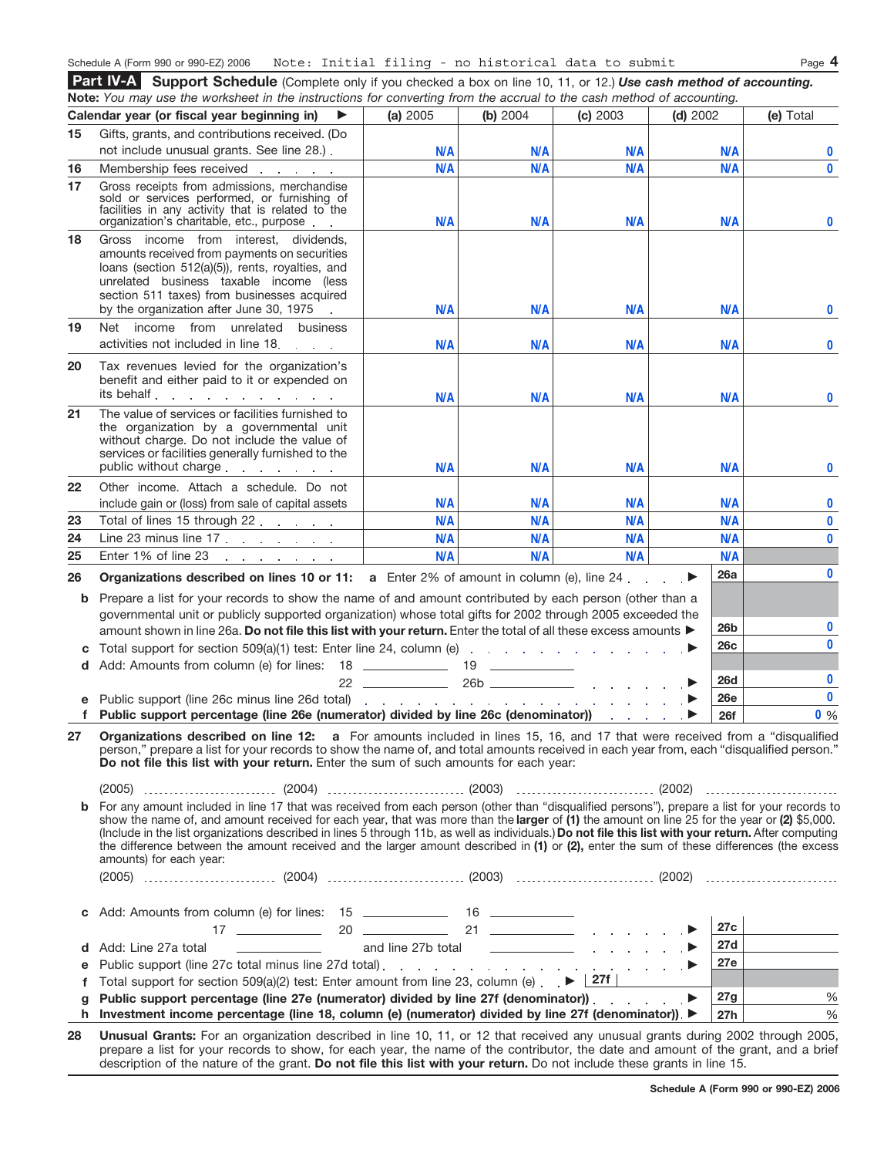## Schedule A (Form 990 or 990-EZ) 2006 Page **4** Note: Initial filing - no historical data to submit

**Support Schedule** (Complete only if you checked a box on line 10, 11, or 12.) *Use cash method of accounting.* **Part IV-A Note:** *You may use the worksheet in the instructions for converting from the accrual to the cash method of accounting.*

|         | <b>NOLE.</b> Tod may use the worksheet in the instructions for convening nonrare accrual to the cash method or accounting.                                                                                                                                                                                                                                                                                                                                                                                                                                                                                                                                                                                                                                                                                                                                                                                                                                                                      |                          |                          |                      |            |                   |                      |
|---------|-------------------------------------------------------------------------------------------------------------------------------------------------------------------------------------------------------------------------------------------------------------------------------------------------------------------------------------------------------------------------------------------------------------------------------------------------------------------------------------------------------------------------------------------------------------------------------------------------------------------------------------------------------------------------------------------------------------------------------------------------------------------------------------------------------------------------------------------------------------------------------------------------------------------------------------------------------------------------------------------------|--------------------------|--------------------------|----------------------|------------|-------------------|----------------------|
|         | Calendar year (or fiscal year beginning in)<br>▶                                                                                                                                                                                                                                                                                                                                                                                                                                                                                                                                                                                                                                                                                                                                                                                                                                                                                                                                                | (a) 2005                 | (b) 2004                 | (c) 2003             | $(d)$ 2002 |                   | (e) Total            |
| 15      | Gifts, grants, and contributions received. (Do                                                                                                                                                                                                                                                                                                                                                                                                                                                                                                                                                                                                                                                                                                                                                                                                                                                                                                                                                  |                          |                          |                      |            |                   |                      |
|         | not include unusual grants. See line 28.).                                                                                                                                                                                                                                                                                                                                                                                                                                                                                                                                                                                                                                                                                                                                                                                                                                                                                                                                                      | <b>N/A</b>               | <b>N/A</b>               | N/A                  |            | <b>N/A</b>        | $\bf{0}$             |
| 16      |                                                                                                                                                                                                                                                                                                                                                                                                                                                                                                                                                                                                                                                                                                                                                                                                                                                                                                                                                                                                 | N/A                      | <b>N/A</b>               | N/A                  |            | N/A               | $\mathbf{0}$         |
| 17      | Gross receipts from admissions, merchandise<br>sold or services performed, or furnishing of<br>facilities in any activity that is related to the<br>organization's charitable, etc., purpose                                                                                                                                                                                                                                                                                                                                                                                                                                                                                                                                                                                                                                                                                                                                                                                                    | <b>N/A</b>               | <b>N/A</b>               | N/A                  |            | N/A               | $\bf{0}$             |
| 18      | Gross income from interest, dividends,<br>amounts received from payments on securities<br>loans (section 512(a)(5)), rents, royalties, and<br>unrelated business taxable income (less<br>section 511 taxes) from businesses acquired<br>by the organization after June 30, 1975                                                                                                                                                                                                                                                                                                                                                                                                                                                                                                                                                                                                                                                                                                                 | <b>N/A</b>               | <b>N/A</b>               | N/A                  |            | <b>N/A</b>        | $\bf{0}$             |
| 19      | Net income from unrelated business<br>activities not included in line 18.                                                                                                                                                                                                                                                                                                                                                                                                                                                                                                                                                                                                                                                                                                                                                                                                                                                                                                                       | <b>N/A</b>               | <b>N/A</b>               | N/A                  |            | <b>N/A</b>        | $\bf{0}$             |
| 20      | Tax revenues levied for the organization's<br>benefit and either paid to it or expended on<br>its behalf                                                                                                                                                                                                                                                                                                                                                                                                                                                                                                                                                                                                                                                                                                                                                                                                                                                                                        |                          |                          |                      |            |                   |                      |
| 21      | The value of services or facilities furnished to<br>the organization by a governmental unit<br>without charge. Do not include the value of<br>services or facilities generally furnished to the<br>public without charge                                                                                                                                                                                                                                                                                                                                                                                                                                                                                                                                                                                                                                                                                                                                                                        | <b>N/A</b><br><b>N/A</b> | <b>N/A</b><br><b>N/A</b> | <b>N/A</b><br>N/A    |            | <b>N/A</b><br>N/A | $\bf{0}$<br>$\bf{0}$ |
| 22      | Other income. Attach a schedule. Do not                                                                                                                                                                                                                                                                                                                                                                                                                                                                                                                                                                                                                                                                                                                                                                                                                                                                                                                                                         |                          |                          |                      |            |                   |                      |
|         | include gain or (loss) from sale of capital assets                                                                                                                                                                                                                                                                                                                                                                                                                                                                                                                                                                                                                                                                                                                                                                                                                                                                                                                                              | <b>N/A</b>               | <b>N/A</b>               | N/A                  |            | N/A               | $\bf{0}$             |
| 23      | Total of lines 15 through 22                                                                                                                                                                                                                                                                                                                                                                                                                                                                                                                                                                                                                                                                                                                                                                                                                                                                                                                                                                    | <b>N/A</b>               | <b>N/A</b>               | N/A                  |            | N/A               | $\pmb{0}$            |
| 24      | Line 23 minus line $17 \cdot \cdot \cdot \cdot \cdot \cdot$                                                                                                                                                                                                                                                                                                                                                                                                                                                                                                                                                                                                                                                                                                                                                                                                                                                                                                                                     | <b>N/A</b>               | <b>N/A</b>               | N/A                  |            | N/A               | $\mathbf{0}$         |
| 25      | Enter 1% of line 23<br>and a state of the state of the                                                                                                                                                                                                                                                                                                                                                                                                                                                                                                                                                                                                                                                                                                                                                                                                                                                                                                                                          | <b>N/A</b>               | <b>N/A</b>               | N/A                  |            | N/A               |                      |
|         |                                                                                                                                                                                                                                                                                                                                                                                                                                                                                                                                                                                                                                                                                                                                                                                                                                                                                                                                                                                                 |                          |                          |                      |            |                   |                      |
|         |                                                                                                                                                                                                                                                                                                                                                                                                                                                                                                                                                                                                                                                                                                                                                                                                                                                                                                                                                                                                 |                          |                          |                      |            | 26a               | $\bf{0}$             |
| b       | <b>Organizations described on lines 10 or 11:</b> a Enter 2% of amount in column (e), line 24.<br>Prepare a list for your records to show the name of and amount contributed by each person (other than a<br>governmental unit or publicly supported organization) whose total gifts for 2002 through 2005 exceeded the                                                                                                                                                                                                                                                                                                                                                                                                                                                                                                                                                                                                                                                                         |                          |                          |                      |            |                   |                      |
| 26      | amount shown in line 26a. Do not file this list with your return. Enter the total of all these excess amounts                                                                                                                                                                                                                                                                                                                                                                                                                                                                                                                                                                                                                                                                                                                                                                                                                                                                                   |                          |                          |                      |            | 26b               | $\bf{0}$             |
| с<br>d  | Add: Amounts from column (e) for lines: 18 ______________ 19 _____________                                                                                                                                                                                                                                                                                                                                                                                                                                                                                                                                                                                                                                                                                                                                                                                                                                                                                                                      |                          |                          |                      |            | 26c               | $\bf{0}$             |
|         |                                                                                                                                                                                                                                                                                                                                                                                                                                                                                                                                                                                                                                                                                                                                                                                                                                                                                                                                                                                                 |                          |                          |                      |            | <b>26d</b>        | $\bf{0}$             |
| е       |                                                                                                                                                                                                                                                                                                                                                                                                                                                                                                                                                                                                                                                                                                                                                                                                                                                                                                                                                                                                 |                          |                          |                      |            | <b>26e</b>        | $\mathbf 0$          |
| f       | Public support percentage (line 26e (numerator) divided by line 26c (denominator))                                                                                                                                                                                                                                                                                                                                                                                                                                                                                                                                                                                                                                                                                                                                                                                                                                                                                                              |                          |                          | state and a state of |            | <b>26f</b>        | $0\%$                |
| 27<br>b | Organizations described on line 12: a For amounts included in lines 15, 16, and 17 that were received from a "disqualified"<br>person," prepare a list for your records to show the name of, and total amounts received in each year from, each "disqualified person."<br>Do not file this list with your return. Enter the sum of such amounts for each year:<br>For any amount included in line 17 that was received from each person (other than "disqualified persons"), prepare a list for your records to<br>show the name of, and amount received for each year, that was more than the larger of (1) the amount on line 25 for the year or (2) \$5,000.<br>(Include in the list organizations described in lines 5 through 11b, as well as individuals.) Do not file this list with your return. After computing<br>the difference between the amount received and the larger amount described in (1) or (2), enter the sum of these differences (the excess<br>amounts) for each year: |                          |                          |                      |            |                   |                      |
| С       |                                                                                                                                                                                                                                                                                                                                                                                                                                                                                                                                                                                                                                                                                                                                                                                                                                                                                                                                                                                                 |                          |                          |                      |            |                   |                      |
|         |                                                                                                                                                                                                                                                                                                                                                                                                                                                                                                                                                                                                                                                                                                                                                                                                                                                                                                                                                                                                 |                          |                          |                      |            | 27c               |                      |
| d       | Add: Line 27a total                                                                                                                                                                                                                                                                                                                                                                                                                                                                                                                                                                                                                                                                                                                                                                                                                                                                                                                                                                             |                          |                          |                      |            | 27d               |                      |
| е       |                                                                                                                                                                                                                                                                                                                                                                                                                                                                                                                                                                                                                                                                                                                                                                                                                                                                                                                                                                                                 |                          |                          |                      |            | 27e               |                      |
| f       | Total support for section 509(a)(2) test: Enter amount from line 23, column (e) $\blacktriangleright$   27f                                                                                                                                                                                                                                                                                                                                                                                                                                                                                                                                                                                                                                                                                                                                                                                                                                                                                     |                          |                          |                      |            |                   |                      |
| g       | Public support percentage (line 27e (numerator) divided by line 27f (denominator))                                                                                                                                                                                                                                                                                                                                                                                                                                                                                                                                                                                                                                                                                                                                                                                                                                                                                                              |                          |                          |                      |            | 27g               | %                    |
|         | h Investment income percentage (line 18, column (e) (numerator) divided by line 27f (denominator)). ▶                                                                                                                                                                                                                                                                                                                                                                                                                                                                                                                                                                                                                                                                                                                                                                                                                                                                                           |                          |                          |                      |            | 27h               | $\%$                 |

**28 Unusual Grants:** For an organization described in line 10, 11, or 12 that received any unusual grants during 2002 through 2005, prepare a list for your records to show, for each year, the name of the contributor, the date and amount of the grant, and a brief description of the nature of the grant. **Do not file this list with your return.** Do not include these grants in line 15.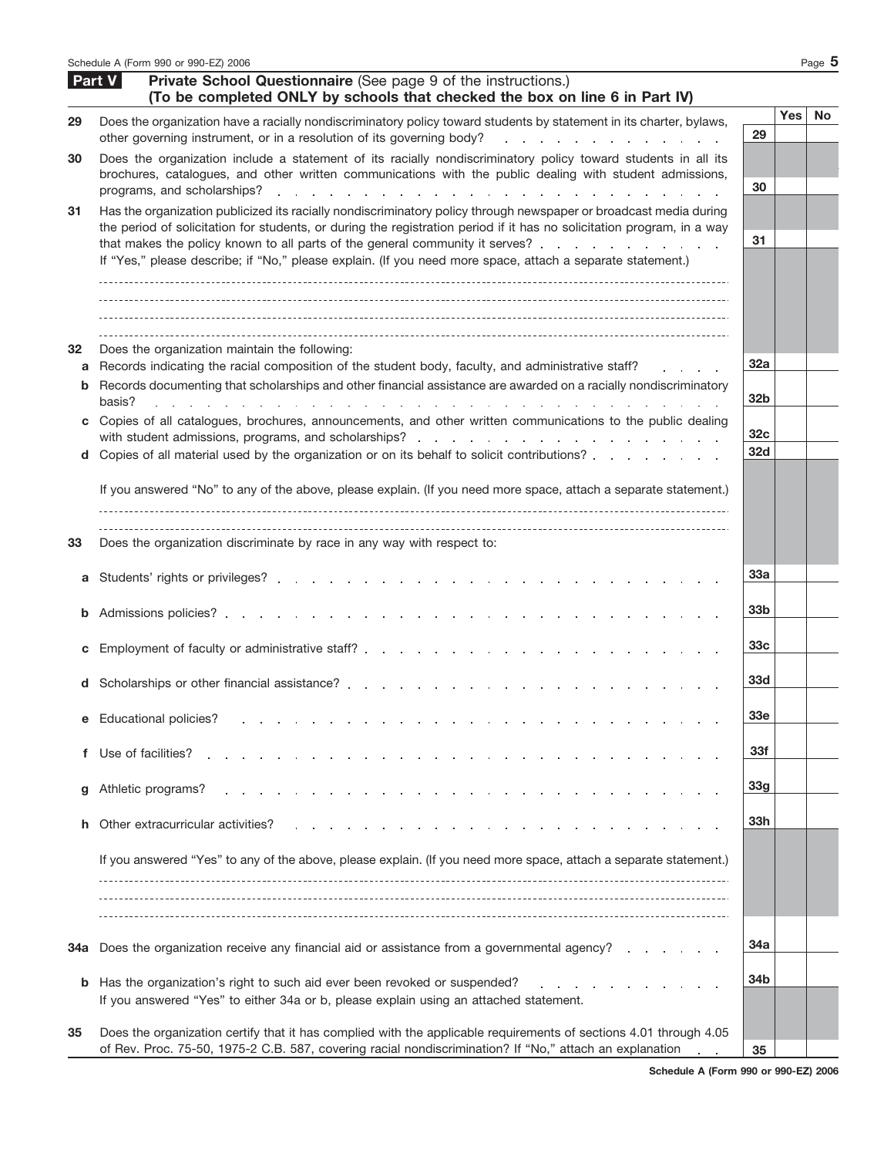|              | Schedule A (Form 990 or 990-EZ) 2006                                                                                                                                                                                                                                                                                                                                                                                                      |                        |            | Page $5$  |
|--------------|-------------------------------------------------------------------------------------------------------------------------------------------------------------------------------------------------------------------------------------------------------------------------------------------------------------------------------------------------------------------------------------------------------------------------------------------|------------------------|------------|-----------|
|              | Part V<br>Private School Questionnaire (See page 9 of the instructions.)<br>(To be completed ONLY by schools that checked the box on line 6 in Part IV)                                                                                                                                                                                                                                                                                   |                        |            |           |
| 29           | Does the organization have a racially nondiscriminatory policy toward students by statement in its charter, bylaws,<br>other governing instrument, or in a resolution of its governing body?<br>and the company of the company of the company                                                                                                                                                                                             | 29                     | <b>Yes</b> | <b>No</b> |
| 30           | Does the organization include a statement of its racially nondiscriminatory policy toward students in all its<br>brochures, catalogues, and other written communications with the public dealing with student admissions,<br>programs, and scholarships?<br>the contract of the contract of the contract of the contract of the contract of the contract of                                                                               | 30                     |            |           |
| 31           | Has the organization publicized its racially nondiscriminatory policy through newspaper or broadcast media during<br>the period of solicitation for students, or during the registration period if it has no solicitation program, in a way<br>that makes the policy known to all parts of the general community it serves?<br>If "Yes," please describe; if "No," please explain. (If you need more space, attach a separate statement.) | 31                     |            |           |
| 32<br>a<br>b | Does the organization maintain the following:<br>Records indicating the racial composition of the student body, faculty, and administrative staff?<br>Records documenting that scholarships and other financial assistance are awarded on a racially nondiscriminatory<br>basis?<br>the contract of the contract of the contract of the contract of                                                                                       | 32a<br>32 <sub>b</sub> |            |           |
| С<br>d       | Copies of all catalogues, brochures, announcements, and other written communications to the public dealing<br>Copies of all material used by the organization or on its behalf to solicit contributions?                                                                                                                                                                                                                                  | 32 <sub>c</sub><br>32d |            |           |
| 33           | If you answered "No" to any of the above, please explain. (If you need more space, attach a separate statement.)<br>Does the organization discriminate by race in any way with respect to:                                                                                                                                                                                                                                                |                        |            |           |
| a            |                                                                                                                                                                                                                                                                                                                                                                                                                                           | 33а                    |            |           |
| b            |                                                                                                                                                                                                                                                                                                                                                                                                                                           | 33 <sub>b</sub>        |            |           |
| С            |                                                                                                                                                                                                                                                                                                                                                                                                                                           | 33c                    |            |           |
|              | d Scholarships or other financial assistance?                                                                                                                                                                                                                                                                                                                                                                                             | <b>33d</b>             |            |           |
| е            | <b>Educational policies?</b>                                                                                                                                                                                                                                                                                                                                                                                                              | 33e                    |            |           |
| f            | Use of facilities?                                                                                                                                                                                                                                                                                                                                                                                                                        | 33f                    |            |           |
| g            | Athletic programs?                                                                                                                                                                                                                                                                                                                                                                                                                        | 33 <sub>g</sub>        |            |           |
| h.           | Other extracurricular activities?                                                                                                                                                                                                                                                                                                                                                                                                         | 33h                    |            |           |
|              | If you answered "Yes" to any of the above, please explain. (If you need more space, attach a separate statement.)                                                                                                                                                                                                                                                                                                                         |                        |            |           |
| 34a          | Does the organization receive any financial aid or assistance from a governmental agency?                                                                                                                                                                                                                                                                                                                                                 | 34a                    |            |           |
| b            | Has the organization's right to such aid ever been revoked or suspended?<br>If you answered "Yes" to either 34a or b, please explain using an attached statement.                                                                                                                                                                                                                                                                         | 34b                    |            |           |
| 35           | Does the organization certify that it has complied with the applicable requirements of sections 4.01 through 4.05<br>of Rev. Proc. 75-50, 1975-2 C.B. 587, covering racial nondiscrimination? If "No," attach an explanation                                                                                                                                                                                                              | 35                     |            |           |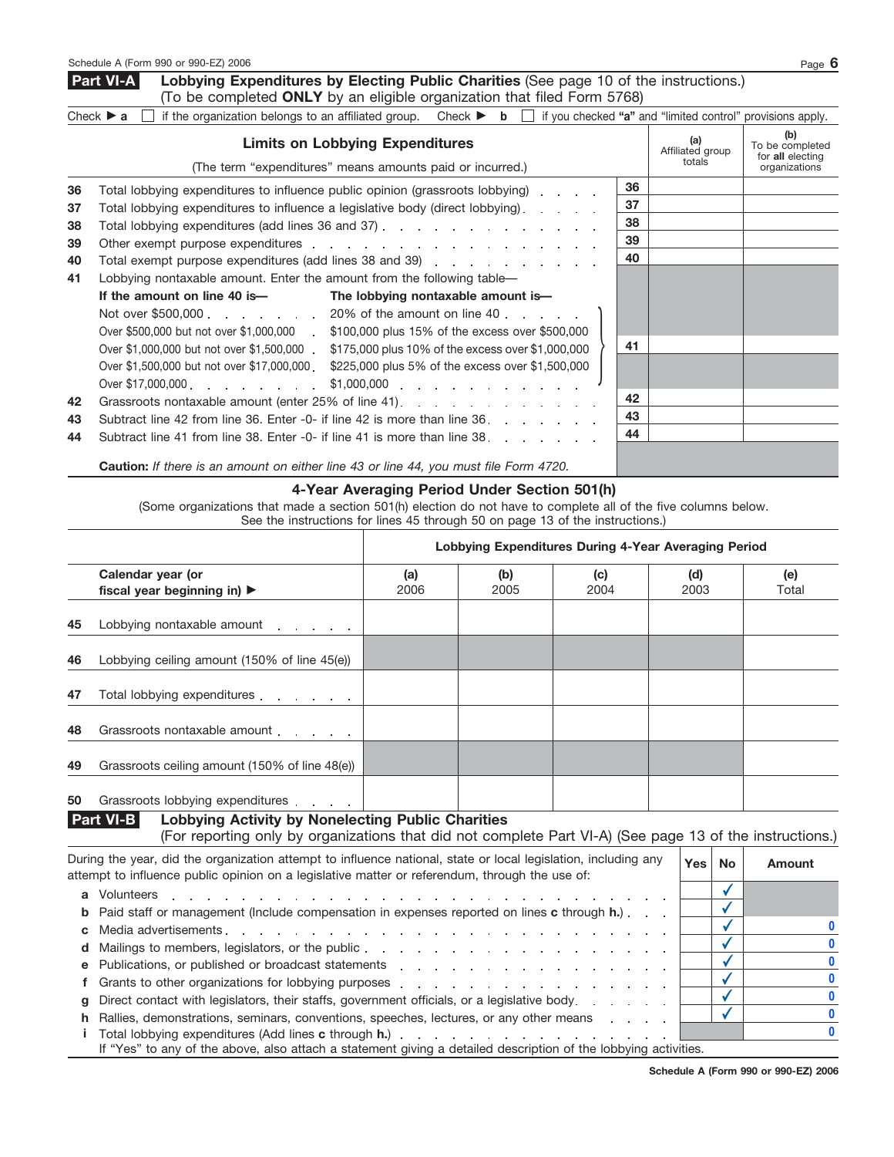**d** Mailings to members, legislators, or the public **e** Publications, or published or broadcast statements **f** Grants to other organizations for lobbying purposes

**i**

**g** Direct contact with legislators, their staffs, government officials, or a legislative body **h** Rallies, demonstrations, seminars, conventions, speeches, lectures, or any other means

If "Yes" to any of the above, also attach a statement giving a detailed description of the lobbying activities.

 $\ddot{\phantom{a}}$  $\mathcal{L}$ 

L.  $\mathbf{r}$ L.

Total lobbying expenditures (Add lines **c** through **h.**)

**Lobbying Expenditures by Electing Public Charities** (See page 10 of the instructions.) (To be completed **ONLY** by an eligible organization that filed Form 5768) **Part VI-A**

|    | Check $\triangleright$ a $\blacksquare$ if the organization belongs to an affiliated group. Check $\triangleright$ b $\blacksquare$ |    | if you checked "a" and "limited control" provisions apply. |                                                             |
|----|-------------------------------------------------------------------------------------------------------------------------------------|----|------------------------------------------------------------|-------------------------------------------------------------|
|    | <b>Limits on Lobbying Expenditures</b><br>(The term "expenditures" means amounts paid or incurred.)                                 |    | (a)<br>Affiliated group<br>totals                          | (b)<br>To be completed<br>for all electing<br>organizations |
| 36 | Total lobbying expenditures to influence public opinion (grassroots lobbying)                                                       | 36 |                                                            |                                                             |
| 37 | Total lobbying expenditures to influence a legislative body (direct lobbying).                                                      | 37 |                                                            |                                                             |
| 38 | Total lobbying expenditures (add lines 36 and 37) [Costal Countries Countries Countries Countries Countries Co                      | 38 |                                                            |                                                             |
| 39 |                                                                                                                                     | 39 |                                                            |                                                             |
| 40 |                                                                                                                                     | 40 |                                                            |                                                             |
| 41 | Lobbying nontaxable amount. Enter the amount from the following table—                                                              |    |                                                            |                                                             |
|    | If the amount on line 40 is—<br>The lobbying nontaxable amount is-                                                                  |    |                                                            |                                                             |
|    | Not over \$500,000 20% of the amount on line 40                                                                                     |    |                                                            |                                                             |
|    | Over \$500,000 but not over \$1,000,000 . \$100,000 plus 15% of the excess over \$500,000                                           |    |                                                            |                                                             |
|    | Over \$1,000,000 but not over \$1,500,000 . \$175,000 plus 10% of the excess over \$1,000,000                                       | 41 |                                                            |                                                             |
|    | Over \$1,500,000 but not over \$17,000,000 . \$225,000 plus 5% of the excess over \$1,500,000                                       |    |                                                            |                                                             |
|    |                                                                                                                                     |    |                                                            |                                                             |
| 42 | Grassroots nontaxable amount (enter 25% of line 41).                                                                                | 42 |                                                            |                                                             |
| 43 | Subtract line 42 from line 36. Enter -0- if line 42 is more than line 36.                                                           | 43 |                                                            |                                                             |
| 44 | Subtract line 41 from line 38. Enter -0- if line 41 is more than line 38.                                                           | 44 |                                                            |                                                             |
|    | <b>Caution:</b> If there is an amount on either line 43 or line 44, you must file Form 4720.                                        |    |                                                            |                                                             |

### **4-Year Averaging Period Under Section 501(h)**

(Some organizations that made a section 501(h) election do not have to complete all of the five columns below. See the instructions for lines 45 through 50 on page 13 of the instructions.)

|    |                                                                                                                                                                                                                  |             |             | Lobbying Expenditures During 4-Year Averaging Period |             |            |               |
|----|------------------------------------------------------------------------------------------------------------------------------------------------------------------------------------------------------------------|-------------|-------------|------------------------------------------------------|-------------|------------|---------------|
|    | Calendar year (or<br>fiscal year beginning in) $\blacktriangleright$                                                                                                                                             | (a)<br>2006 | (b)<br>2005 | (c)<br>2004                                          | (d)<br>2003 |            | (e)<br>Total  |
| 45 | Lobbying nontaxable amount                                                                                                                                                                                       |             |             |                                                      |             |            |               |
| 46 | Lobbying ceiling amount (150% of line 45(e))                                                                                                                                                                     |             |             |                                                      |             |            |               |
| 47 | Total lobbying expenditures                                                                                                                                                                                      |             |             |                                                      |             |            |               |
| 48 | Grassroots nontaxable amount                                                                                                                                                                                     |             |             |                                                      |             |            |               |
| 49 | Grassroots ceiling amount (150% of line 48(e))                                                                                                                                                                   |             |             |                                                      |             |            |               |
| 50 | Grassroots lobbying expenditures                                                                                                                                                                                 |             |             |                                                      |             |            |               |
|    | <b>Part VI-B</b><br><b>Lobbying Activity by Nonelecting Public Charities</b><br>(For reporting only by organizations that did not complete Part VI-A) (See page 13 of the instructions.)                         |             |             |                                                      |             |            |               |
|    | During the year, did the organization attempt to influence national, state or local legislation, including any<br>attempt to influence public opinion on a legislative matter or referendum, through the use of: |             |             |                                                      |             | Yes <br>No | <b>Amount</b> |
|    | <b>a</b> Volunteers<br>and a series of the contract of the contract of the contract of the contract of                                                                                                           |             |             | .                                                    |             |            |               |
|    | Paid staff or management (include compensation in expenses reported on lines <b>c</b> through <b>h</b> .)                                                                                                        |             |             |                                                      |             |            |               |
|    |                                                                                                                                                                                                                  |             |             |                                                      |             |            |               |

✔ **0** ✔ **0** ✔ **0** ✔ **0** ✔ **0**

**0**